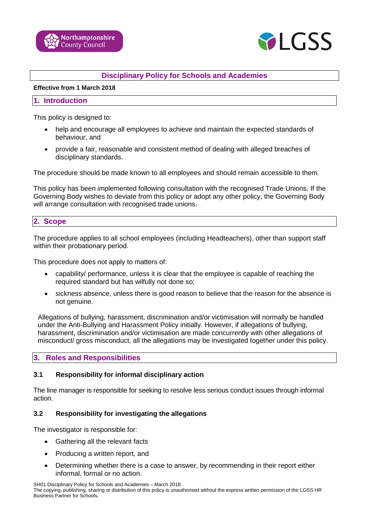



# **Disciplinary Policy for Schools and Academies**

#### **Effective from 1 March 2018**

#### **1. Introduction**

This policy is designed to:

- help and encourage all employees to achieve and maintain the expected standards of behaviour, and
- provide a fair, reasonable and consistent method of dealing with alleged breaches of disciplinary standards.

The procedure should be made known to all employees and should remain accessible to them.

This policy has been implemented following consultation with the recognised Trade Unions. If the Governing Body wishes to deviate from this policy or adopt any other policy, the Governing Body will arrange consultation with recognised trade unions.

### **2. Scope**

The procedure applies to all school employees (including Headteachers), other than support staff within their probationary period.

This procedure does not apply to matters of:

- capability/ performance, unless it is clear that the employee is capable of reaching the required standard but has wilfully not done so;
- sickness absence, unless there is good reason to believe that the reason for the absence is not genuine.

Allegations of bullying, harassment, discrimination and/or victimisation will normally be handled under the Anti-Bullying and Harassment Policy initially. However, if allegations of bullying, harassment, discrimination and/or victimisation are made concurrently with other allegations of misconduct/ gross misconduct, all the allegations may be investigated together under this policy.

## **3. Roles and Responsibilities**

## **3.1 Responsibility for informal disciplinary action**

The line manager is responsible for seeking to resolve less serious conduct issues through informal action.

#### **3.2 Responsibility for investigating the allegations**

The investigator is responsible for:

- Gathering all the relevant facts
- Producing a written report, and
- Determining whether there is a case to answer, by recommending in their report either informal, formal or no action.

SH01 Disciplinary Policy for Schools and Academies – March 2018 The copying, publishing, sharing or distribution of this policy is unauthorised without the express written permission of the LGSS HR Business Partner for Schools.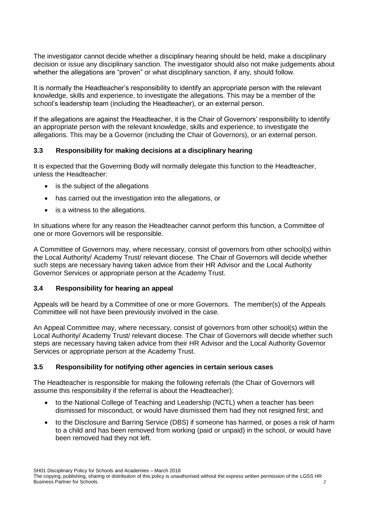The investigator cannot decide whether a disciplinary hearing should be held, make a disciplinary decision or issue any disciplinary sanction. The investigator should also not make judgements about whether the allegations are "proven" or what disciplinary sanction, if any, should follow.

It is normally the Headteacher's responsibility to identify an appropriate person with the relevant knowledge, skills and experience, to investigate the allegations. This may be a member of the school's leadership team (including the Headteacher), or an external person.

If the allegations are against the Headteacher, it is the Chair of Governors' responsibility to identify an appropriate person with the relevant knowledge, skills and experience, to investigate the allegations. This may be a Governor (including the Chair of Governors), or an external person.

# **3.3 Responsibility for making decisions at a disciplinary hearing**

It is expected that the Governing Body will normally delegate this function to the Headteacher, unless the Headteacher:

- is the subject of the allegations
- has carried out the investigation into the allegations, or
- is a witness to the allegations.

In situations where for any reason the Headteacher cannot perform this function, a Committee of one or more Governors will be responsible.

A Committee of Governors may, where necessary, consist of governors from other school(s) within the Local Authority/ Academy Trust/ relevant diocese. The Chair of Governors will decide whether such steps are necessary having taken advice from their HR Advisor and the Local Authority Governor Services or appropriate person at the Academy Trust.

## **3.4 Responsibility for hearing an appeal**

Appeals will be heard by a Committee of one or more Governors. The member(s) of the Appeals Committee will not have been previously involved in the case.

An Appeal Committee may, where necessary, consist of governors from other school(s) within the Local Authority/ Academy Trust/ relevant diocese. The Chair of Governors will decide whether such steps are necessary having taken advice from their HR Advisor and the Local Authority Governor Services or appropriate person at the Academy Trust.

## **3.5 Responsibility for notifying other agencies in certain serious cases**

The Headteacher is responsible for making the following referrals (the Chair of Governors will assume this responsibility if the referral is about the Headteacher):

- to the National College of Teaching and Leadership (NCTL) when a teacher has been dismissed for misconduct, or would have dismissed them had they not resigned first; and
- to the Disclosure and Barring Service (DBS) if someone has harmed, or poses a risk of harm to a child and has been removed from working (paid or unpaid) in the school, or would have been removed had they not left.

The copying, publishing, sharing or distribution of this policy is unauthorised without the express written permission of the LGSS HR Business Partner for Schools. 2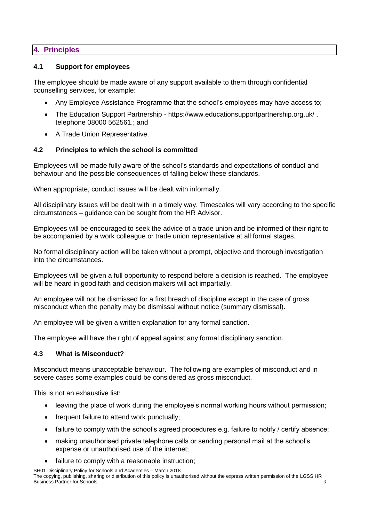# **4. Principles**

### **4.1 Support for employees**

The employee should be made aware of any support available to them through confidential counselling services, for example:

- Any Employee Assistance Programme that the school's employees may have access to;
- The Education Support Partnership https://www.educationsupportpartnership.org.uk/ , telephone 08000 562561.; and
- A Trade Union Representative.

## **4.2 Principles to which the school is committed**

Employees will be made fully aware of the school's standards and expectations of conduct and behaviour and the possible consequences of falling below these standards.

When appropriate, conduct issues will be dealt with informally.

All disciplinary issues will be dealt with in a timely way. Timescales will vary according to the specific circumstances – guidance can be sought from the HR Advisor.

Employees will be encouraged to seek the advice of a trade union and be informed of their right to be accompanied by a work colleague or trade union representative at all formal stages.

No formal disciplinary action will be taken without a prompt, objective and thorough investigation into the circumstances.

Employees will be given a full opportunity to respond before a decision is reached. The employee will be heard in good faith and decision makers will act impartially.

An employee will not be dismissed for a first breach of discipline except in the case of gross misconduct when the penalty may be dismissal without notice (summary dismissal).

An employee will be given a written explanation for any formal sanction.

The employee will have the right of appeal against any formal disciplinary sanction.

## **4.3 What is Misconduct?**

Misconduct means unacceptable behaviour. The following are examples of misconduct and in severe cases some examples could be considered as gross misconduct.

This is not an exhaustive list:

- leaving the place of work during the employee's normal working hours without permission;
- frequent failure to attend work punctually;
- failure to comply with the school's agreed procedures e.g. failure to notify / certify absence;
- making unauthorised private telephone calls or sending personal mail at the school's expense or unauthorised use of the internet;
- failure to comply with a reasonable instruction;

SH01 Disciplinary Policy for Schools and Academies – March 2018 The copying, publishing, sharing or distribution of this policy is unauthorised without the express written permission of the LGSS HR **Business Partner for Schools.** 3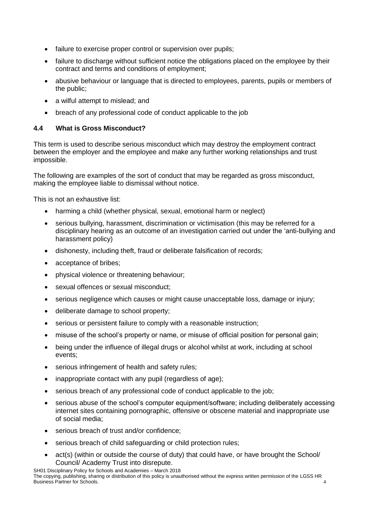- failure to exercise proper control or supervision over pupils;
- failure to discharge without sufficient notice the obligations placed on the employee by their contract and terms and conditions of employment;
- abusive behaviour or language that is directed to employees, parents, pupils or members of the public;
- a wilful attempt to mislead; and
- breach of any professional code of conduct applicable to the job

# **4.4 What is Gross Misconduct?**

This term is used to describe serious misconduct which may destroy the employment contract between the employer and the employee and make any further working relationships and trust impossible.

The following are examples of the sort of conduct that may be regarded as gross misconduct, making the employee liable to dismissal without notice.

This is not an exhaustive list:

- harming a child (whether physical, sexual, emotional harm or neglect)
- serious bullying, harassment, discrimination or victimisation (this may be referred for a disciplinary hearing as an outcome of an investigation carried out under the 'anti-bullying and harassment policy)
- dishonesty, including theft, fraud or deliberate falsification of records;
- acceptance of bribes:
- physical violence or threatening behaviour;
- sexual offences or sexual misconduct;
- serious negligence which causes or might cause unacceptable loss, damage or injury;
- deliberate damage to school property;
- serious or persistent failure to comply with a reasonable instruction;
- misuse of the school's property or name, or misuse of official position for personal gain;
- being under the influence of illegal drugs or alcohol whilst at work, including at school events;
- serious infringement of health and safety rules;
- inappropriate contact with any pupil (regardless of age);
- serious breach of any professional code of conduct applicable to the job;
- serious abuse of the school's computer equipment/software; including deliberately accessing internet sites containing pornographic, offensive or obscene material and inappropriate use of social media;
- serious breach of trust and/or confidence;
- serious breach of child safeguarding or child protection rules;
- act(s) (within or outside the course of duty) that could have, or have brought the School/ Council/ Academy Trust into disrepute.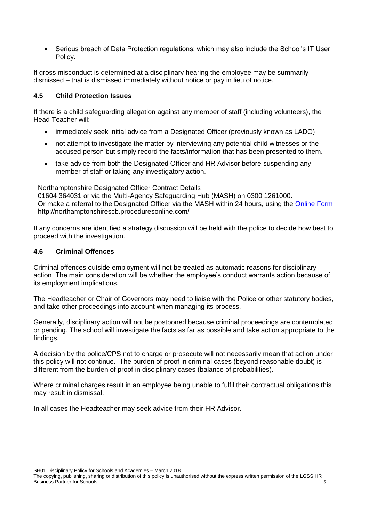• Serious breach of Data Protection regulations; which may also include the School's IT User Policy.

If gross misconduct is determined at a disciplinary hearing the employee may be summarily dismissed – that is dismissed immediately without notice or pay in lieu of notice.

## **4.5 Child Protection Issues**

If there is a child safeguarding allegation against any member of staff (including volunteers), the Head Teacher will:

- immediately seek initial advice from a Designated Officer (previously known as LADO)
- not attempt to investigate the matter by interviewing any potential child witnesses or the accused person but simply record the facts/information that has been presented to them.
- take advice from both the Designated Officer and HR Advisor before suspending any member of staff or taking any investigatory action.

Northamptonshire Designated Officer Contract Details 01604 364031 or via the Multi-Agency Safeguarding Hub (MASH) on 0300 1261000. Or make a referral to the Designated Officer via the MASH within 24 hours, using the [Online Form](http://www.northamptonshirescb.org.uk/assets/legacy/getasset?id=fAAxADYANAB8AHwAVAByAHUAZQB8AHwAMAB8AA2) http://northamptonshirescb.proceduresonline.com/

If any concerns are identified a strategy discussion will be held with the police to decide how best to proceed with the investigation.

## **4.6 Criminal Offences**

Criminal offences outside employment will not be treated as automatic reasons for disciplinary action. The main consideration will be whether the employee's conduct warrants action because of its employment implications.

The Headteacher or Chair of Governors may need to liaise with the Police or other statutory bodies, and take other proceedings into account when managing its process.

Generally, disciplinary action will not be postponed because criminal proceedings are contemplated or pending. The school will investigate the facts as far as possible and take action appropriate to the findings.

A decision by the police/CPS not to charge or prosecute will not necessarily mean that action under this policy will not continue. The burden of proof in criminal cases (beyond reasonable doubt) is different from the burden of proof in disciplinary cases (balance of probabilities).

Where criminal charges result in an employee being unable to fulfil their contractual obligations this may result in dismissal.

In all cases the Headteacher may seek advice from their HR Advisor.

The copying, publishing, sharing or distribution of this policy is unauthorised without the express written permission of the LGSS HR **Business Partner for Schools.** 5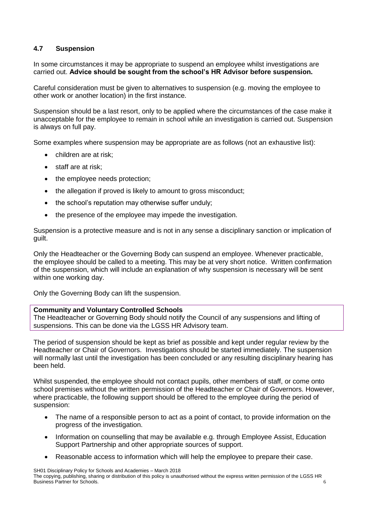# **4.7 Suspension**

In some circumstances it may be appropriate to suspend an employee whilst investigations are carried out. **Advice should be sought from the school's HR Advisor before suspension.**

Careful consideration must be given to alternatives to suspension (e.g. moving the employee to other work or another location) in the first instance.

Suspension should be a last resort, only to be applied where the circumstances of the case make it unacceptable for the employee to remain in school while an investigation is carried out. Suspension is always on full pay.

Some examples where suspension may be appropriate are as follows (not an exhaustive list):

- children are at risk:
- staff are at risk:
- the employee needs protection;
- the allegation if proved is likely to amount to gross misconduct;
- the school's reputation may otherwise suffer unduly;
- the presence of the employee may impede the investigation.

Suspension is a protective measure and is not in any sense a disciplinary sanction or implication of guilt.

Only the Headteacher or the Governing Body can suspend an employee. Whenever practicable, the employee should be called to a meeting. This may be at very short notice. Written confirmation of the suspension, which will include an explanation of why suspension is necessary will be sent within one working day.

Only the Governing Body can lift the suspension.

## **Community and Voluntary Controlled Schools**

The Headteacher or Governing Body should notify the Council of any suspensions and lifting of suspensions. This can be done via the LGSS HR Advisory team.

The period of suspension should be kept as brief as possible and kept under regular review by the Headteacher or Chair of Governors. Investigations should be started immediately. The suspension will normally last until the investigation has been concluded or any resulting disciplinary hearing has been held.

Whilst suspended, the employee should not contact pupils, other members of staff, or come onto school premises without the written permission of the Headteacher or Chair of Governors. However, where practicable, the following support should be offered to the employee during the period of suspension:

- The name of a responsible person to act as a point of contact, to provide information on the progress of the investigation.
- Information on counselling that may be available e.g. through Employee Assist, Education Support Partnership and other appropriate sources of support.
- Reasonable access to information which will help the employee to prepare their case.

SH01 Disciplinary Policy for Schools and Academies – March 2018 The copying, publishing, sharing or distribution of this policy is unauthorised without the express written permission of the LGSS HR **Business Partner for Schools.** 6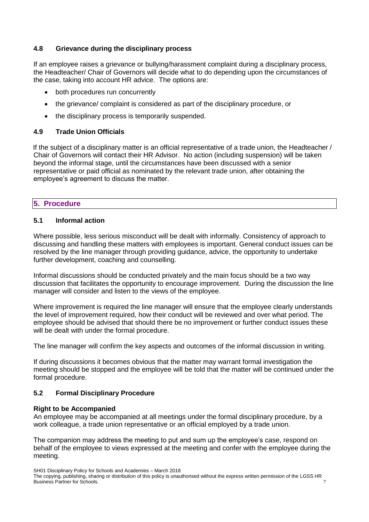# **4.8 Grievance during the disciplinary process**

If an employee raises a grievance or bullying/harassment complaint during a disciplinary process, the Headteacher/ Chair of Governors will decide what to do depending upon the circumstances of the case, taking into account HR advice. The options are:

- both procedures run concurrently
- the grievance/ complaint is considered as part of the disciplinary procedure, or
- the disciplinary process is temporarily suspended.

## **4.9 Trade Union Officials**

If the subject of a disciplinary matter is an official representative of a trade union, the Headteacher / Chair of Governors will contact their HR Advisor. No action (including suspension) will be taken beyond the informal stage, until the circumstances have been discussed with a senior representative or paid official as nominated by the relevant trade union, after obtaining the employee's agreement to discuss the matter.

# **5. Procedure**

# **5.1 Informal action**

Where possible, less serious misconduct will be dealt with informally. Consistency of approach to discussing and handling these matters with employees is important. General conduct issues can be resolved by the line manager through providing guidance, advice, the opportunity to undertake further development, coaching and counselling.

Informal discussions should be conducted privately and the main focus should be a two way discussion that facilitates the opportunity to encourage improvement. During the discussion the line manager will consider and listen to the views of the employee.

Where improvement is required the line manager will ensure that the employee clearly understands the level of improvement required, how their conduct will be reviewed and over what period. The employee should be advised that should there be no improvement or further conduct issues these will be dealt with under the formal procedure.

The line manager will confirm the key aspects and outcomes of the informal discussion in writing.

If during discussions it becomes obvious that the matter may warrant formal investigation the meeting should be stopped and the employee will be told that the matter will be continued under the formal procedure.

## **5.2 Formal Disciplinary Procedure**

## **Right to be Accompanied**

An employee may be accompanied at all meetings under the formal disciplinary procedure, by a work colleague, a trade union representative or an official employed by a trade union.

The companion may address the meeting to put and sum up the employee's case, respond on behalf of the employee to views expressed at the meeting and confer with the employee during the meeting.

SH01 Disciplinary Policy for Schools and Academies – March 2018

The copying, publishing, sharing or distribution of this policy is unauthorised without the express written permission of the LGSS HR Business Partner for Schools. 7 and 7 and 7 and 7 and 7 and 7 and 7 and 7 and 7 and 7 and 7 and 7 and 7 and 7 and 7 and 7 and 7 and 7 and 7 and 7 and 7 and 7 and 7 and 7 and 7 and 7 and 7 and 7 and 7 and 7 and 7 and 7 and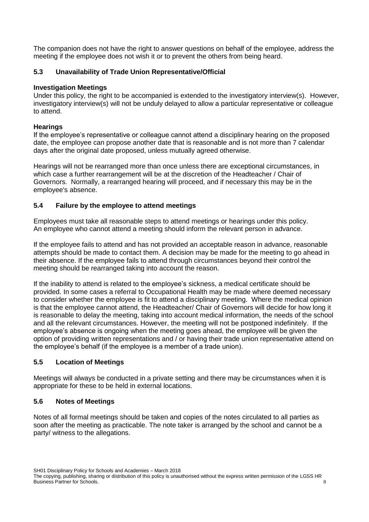The companion does not have the right to answer questions on behalf of the employee, address the meeting if the employee does not wish it or to prevent the others from being heard.

# **5.3 Unavailability of Trade Union Representative/Official**

### **Investigation Meetings**

Under this policy, the right to be accompanied is extended to the investigatory interview(s). However, investigatory interview(s) will not be unduly delayed to allow a particular representative or colleague to attend.

## **Hearings**

If the employee's representative or colleague cannot attend a disciplinary hearing on the proposed date, the employee can propose another date that is reasonable and is not more than 7 calendar days after the original date proposed, unless mutually agreed otherwise.

Hearings will not be rearranged more than once unless there are exceptional circumstances, in which case a further rearrangement will be at the discretion of the Headteacher / Chair of Governors. Normally, a rearranged hearing will proceed, and if necessary this may be in the employee's absence.

## **5.4 Failure by the employee to attend meetings**

Employees must take all reasonable steps to attend meetings or hearings under this policy. An employee who cannot attend a meeting should inform the relevant person in advance.

If the employee fails to attend and has not provided an acceptable reason in advance, reasonable attempts should be made to contact them. A decision may be made for the meeting to go ahead in their absence. If the employee fails to attend through circumstances beyond their control the meeting should be rearranged taking into account the reason.

If the inability to attend is related to the employee's sickness, a medical certificate should be provided. In some cases a referral to Occupational Health may be made where deemed necessary to consider whether the employee is fit to attend a disciplinary meeting. Where the medical opinion is that the employee cannot attend, the Headteacher/ Chair of Governors will decide for how long it is reasonable to delay the meeting, taking into account medical information, the needs of the school and all the relevant circumstances. However, the meeting will not be postponed indefinitely. If the employee's absence is ongoing when the meeting goes ahead, the employee will be given the option of providing written representations and / or having their trade union representative attend on the employee's behalf (if the employee is a member of a trade union).

## **5.5 Location of Meetings**

Meetings will always be conducted in a private setting and there may be circumstances when it is appropriate for these to be held in external locations.

## **5.6 Notes of Meetings**

Notes of all formal meetings should be taken and copies of the notes circulated to all parties as soon after the meeting as practicable. The note taker is arranged by the school and cannot be a party/ witness to the allegations.

The copying, publishing, sharing or distribution of this policy is unauthorised without the express written permission of the LGSS HR Business Partner for Schools. 8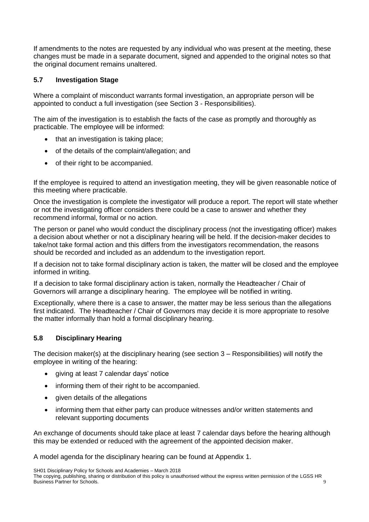If amendments to the notes are requested by any individual who was present at the meeting, these changes must be made in a separate document, signed and appended to the original notes so that the original document remains unaltered.

# **5.7 Investigation Stage**

Where a complaint of misconduct warrants formal investigation, an appropriate person will be appointed to conduct a full investigation (see Section 3 - Responsibilities).

The aim of the investigation is to establish the facts of the case as promptly and thoroughly as practicable. The employee will be informed:

- that an investigation is taking place;
- of the details of the complaint/allegation; and
- of their right to be accompanied.

If the employee is required to attend an investigation meeting, they will be given reasonable notice of this meeting where practicable.

Once the investigation is complete the investigator will produce a report. The report will state whether or not the investigating officer considers there could be a case to answer and whether they recommend informal, formal or no action.

The person or panel who would conduct the disciplinary process (not the investigating officer) makes a decision about whether or not a disciplinary hearing will be held. If the decision-maker decides to take/not take formal action and this differs from the investigators recommendation, the reasons should be recorded and included as an addendum to the investigation report.

If a decision not to take formal disciplinary action is taken, the matter will be closed and the employee informed in writing.

If a decision to take formal disciplinary action is taken, normally the Headteacher / Chair of Governors will arrange a disciplinary hearing. The employee will be notified in writing.

Exceptionally, where there is a case to answer, the matter may be less serious than the allegations first indicated. The Headteacher / Chair of Governors may decide it is more appropriate to resolve the matter informally than hold a formal disciplinary hearing.

# **5.8 Disciplinary Hearing**

The decision maker(s) at the disciplinary hearing (see section 3 – Responsibilities) will notify the employee in writing of the hearing:

- giving at least 7 calendar days' notice
- informing them of their right to be accompanied.
- given details of the allegations
- informing them that either party can produce witnesses and/or written statements and relevant supporting documents

An exchange of documents should take place at least 7 calendar days before the hearing although this may be extended or reduced with the agreement of the appointed decision maker.

A model agenda for the disciplinary hearing can be found at Appendix 1.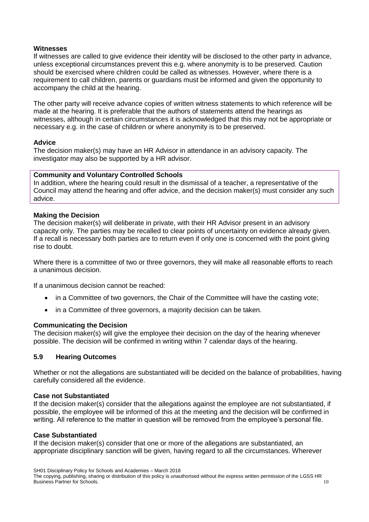### **Witnesses**

If witnesses are called to give evidence their identity will be disclosed to the other party in advance, unless exceptional circumstances prevent this e.g. where anonymity is to be preserved. Caution should be exercised where children could be called as witnesses. However, where there is a requirement to call children, parents or guardians must be informed and given the opportunity to accompany the child at the hearing.

The other party will receive advance copies of written witness statements to which reference will be made at the hearing. It is preferable that the authors of statements attend the hearings as witnesses, although in certain circumstances it is acknowledged that this may not be appropriate or necessary e.g. in the case of children or where anonymity is to be preserved.

### **Advice**

The decision maker(s) may have an HR Advisor in attendance in an advisory capacity. The investigator may also be supported by a HR advisor.

### **Community and Voluntary Controlled Schools**

In addition, where the hearing could result in the dismissal of a teacher, a representative of the Council may attend the hearing and offer advice, and the decision maker(s) must consider any such advice.

### **Making the Decision**

The decision maker(s) will deliberate in private, with their HR Advisor present in an advisory capacity only. The parties may be recalled to clear points of uncertainty on evidence already given. If a recall is necessary both parties are to return even if only one is concerned with the point giving rise to doubt.

Where there is a committee of two or three governors, they will make all reasonable efforts to reach a unanimous decision.

If a unanimous decision cannot be reached:

- in a Committee of two governors, the Chair of the Committee will have the casting vote;
- in a Committee of three governors, a majority decision can be taken.

#### **Communicating the Decision**

The decision maker(s) will give the employee their decision on the day of the hearing whenever possible. The decision will be confirmed in writing within 7 calendar days of the hearing.

## **5.9 Hearing Outcomes**

Whether or not the allegations are substantiated will be decided on the balance of probabilities, having carefully considered all the evidence.

#### **Case not Substantiated**

If the decision maker(s) consider that the allegations against the employee are not substantiated, if possible, the employee will be informed of this at the meeting and the decision will be confirmed in writing. All reference to the matter in question will be removed from the employee's personal file.

#### **Case Substantiated**

If the decision maker(s) consider that one or more of the allegations are substantiated, an appropriate disciplinary sanction will be given, having regard to all the circumstances. Wherever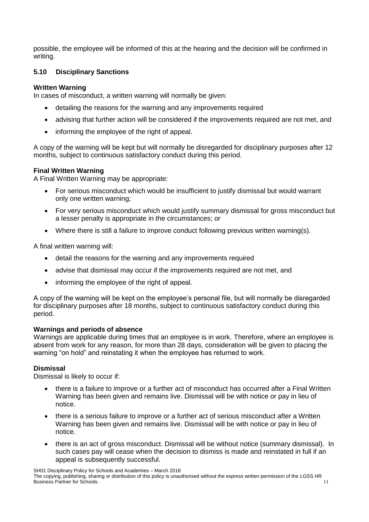possible, the employee will be informed of this at the hearing and the decision will be confirmed in writing.

# **5.10 Disciplinary Sanctions**

# **Written Warning**

In cases of misconduct, a written warning will normally be given:

- detailing the reasons for the warning and any improvements required
- advising that further action will be considered if the improvements required are not met, and
- informing the employee of the right of appeal.

A copy of the warning will be kept but will normally be disregarded for disciplinary purposes after 12 months, subject to continuous satisfactory conduct during this period.

# **Final Written Warning**

A Final Written Warning may be appropriate:

- For serious misconduct which would be insufficient to justify dismissal but would warrant only one written warning;
- For very serious misconduct which would justify summary dismissal for gross misconduct but a lesser penalty is appropriate in the circumstances; or
- Where there is still a failure to improve conduct following previous written warning(s).

A final written warning will:

- detail the reasons for the warning and any improvements required
- advise that dismissal may occur if the improvements required are not met, and
- informing the employee of the right of appeal.

A copy of the warning will be kept on the employee's personal file, but will normally be disregarded for disciplinary purposes after 18 months, subject to continuous satisfactory conduct during this period.

## **Warnings and periods of absence**

Warnings are applicable during times that an employee is in work. Therefore, where an employee is absent from work for any reason, for more than 28 days, consideration will be given to placing the warning "on hold" and reinstating it when the employee has returned to work.

# **Dismissal**

Dismissal is likely to occur if:

- there is a failure to improve or a further act of misconduct has occurred after a Final Written Warning has been given and remains live. Dismissal will be with notice or pay in lieu of notice.
- there is a serious failure to improve or a further act of serious misconduct after a Written Warning has been given and remains live. Dismissal will be with notice or pay in lieu of notice.
- there is an act of gross misconduct. Dismissal will be without notice (summary dismissal). In such cases pay will cease when the decision to dismiss is made and reinstated in full if an appeal is subsequently successful.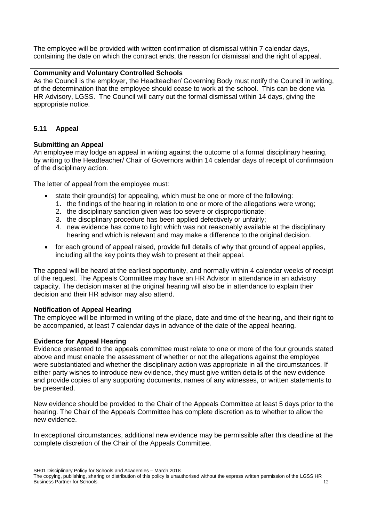The employee will be provided with written confirmation of dismissal within 7 calendar days, containing the date on which the contract ends, the reason for dismissal and the right of appeal.

## **Community and Voluntary Controlled Schools**

As the Council is the employer, the Headteacher/ Governing Body must notify the Council in writing, of the determination that the employee should cease to work at the school. This can be done via HR Advisory, LGSS. The Council will carry out the formal dismissal within 14 days, giving the appropriate notice.

# **5.11 Appeal**

## **Submitting an Appeal**

An employee may lodge an appeal in writing against the outcome of a formal disciplinary hearing, by writing to the Headteacher/ Chair of Governors within 14 calendar days of receipt of confirmation of the disciplinary action.

The letter of appeal from the employee must:

- state their ground(s) for appealing, which must be one or more of the following:
	- 1. the findings of the hearing in relation to one or more of the allegations were wrong;
	- 2. the disciplinary sanction given was too severe or disproportionate;
	- 3. the disciplinary procedure has been applied defectively or unfairly;
	- 4. new evidence has come to light which was not reasonably available at the disciplinary hearing and which is relevant and may make a difference to the original decision.
- for each ground of appeal raised, provide full details of why that ground of appeal applies, including all the key points they wish to present at their appeal.

The appeal will be heard at the earliest opportunity, and normally within 4 calendar weeks of receipt of the request. The Appeals Committee may have an HR Advisor in attendance in an advisory capacity. The decision maker at the original hearing will also be in attendance to explain their decision and their HR advisor may also attend.

## **Notification of Appeal Hearing**

The employee will be informed in writing of the place, date and time of the hearing, and their right to be accompanied, at least 7 calendar days in advance of the date of the appeal hearing.

## **Evidence for Appeal Hearing**

Evidence presented to the appeals committee must relate to one or more of the four grounds stated above and must enable the assessment of whether or not the allegations against the employee were substantiated and whether the disciplinary action was appropriate in all the circumstances. If either party wishes to introduce new evidence, they must give written details of the new evidence and provide copies of any supporting documents, names of any witnesses, or written statements to be presented.

New evidence should be provided to the Chair of the Appeals Committee at least 5 days prior to the hearing. The Chair of the Appeals Committee has complete discretion as to whether to allow the new evidence.

In exceptional circumstances, additional new evidence may be permissible after this deadline at the complete discretion of the Chair of the Appeals Committee.

The copying, publishing, sharing or distribution of this policy is unauthorised without the express written permission of the LGSS HR Business Partner for Schools. 12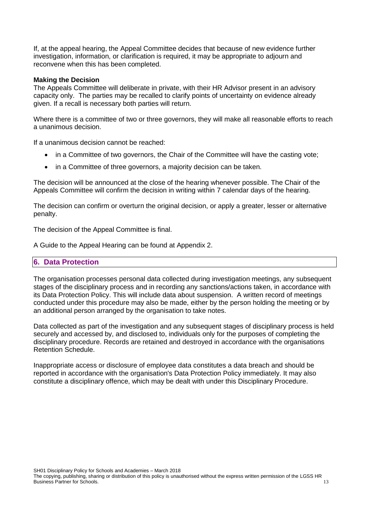If, at the appeal hearing, the Appeal Committee decides that because of new evidence further investigation, information, or clarification is required, it may be appropriate to adjourn and reconvene when this has been completed.

#### **Making the Decision**

The Appeals Committee will deliberate in private, with their HR Advisor present in an advisory capacity only. The parties may be recalled to clarify points of uncertainty on evidence already given. If a recall is necessary both parties will return.

Where there is a committee of two or three governors, they will make all reasonable efforts to reach a unanimous decision.

If a unanimous decision cannot be reached:

- in a Committee of two governors, the Chair of the Committee will have the casting vote;
- in a Committee of three governors, a majority decision can be taken.

The decision will be announced at the close of the hearing whenever possible. The Chair of the Appeals Committee will confirm the decision in writing within 7 calendar days of the hearing.

The decision can confirm or overturn the original decision, or apply a greater, lesser or alternative penalty.

The decision of the Appeal Committee is final.

A Guide to the Appeal Hearing can be found at Appendix 2.

## **6. Data Protection**

The organisation processes personal data collected during investigation meetings, any subsequent stages of the disciplinary process and in recording any sanctions/actions taken, in accordance with its Data Protection Policy. This will include data about suspension. A written record of meetings conducted under this procedure may also be made, either by the person holding the meeting or by an additional person arranged by the organisation to take notes.

Data collected as part of the investigation and any subsequent stages of disciplinary process is held securely and accessed by, and disclosed to, individuals only for the purposes of completing the disciplinary procedure. Records are retained and destroyed in accordance with the organisations Retention Schedule.

Inappropriate access or disclosure of employee data constitutes a data breach and should be reported in accordance with the organisation's Data Protection Policy immediately. It may also constitute a disciplinary offence, which may be dealt with under this Disciplinary Procedure.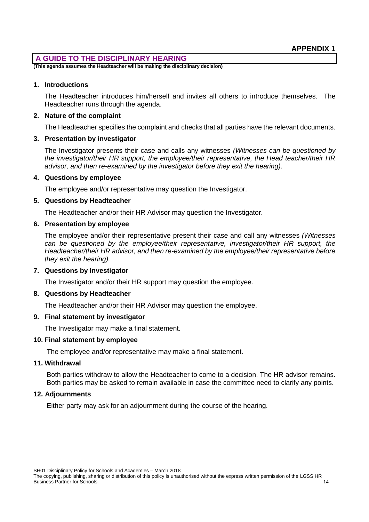# **A GUIDE TO THE DISCIPLINARY HEARING**

**(This agenda assumes the Headteacher will be making the disciplinary decision)**

### **1. Introductions**

The Headteacher introduces him/herself and invites all others to introduce themselves. The Headteacher runs through the agenda.

### **2. Nature of the complaint**

The Headteacher specifies the complaint and checks that all parties have the relevant documents.

## **3. Presentation by investigator**

The Investigator presents their case and calls any witnesses *(Witnesses can be questioned by the investigator/their HR support, the employee/their representative, the Head teacher/their HR advisor, and then re-examined by the investigator before they exit the hearing).*

### **4. Questions by employee**

The employee and/or representative may question the Investigator.

### **5. Questions by Headteacher**

The Headteacher and/or their HR Advisor may question the Investigator.

### **6. Presentation by employee**

The employee and/or their representative present their case and call any witnesses *(Witnesses can be questioned by the employee/their representative, investigator/their HR support, the Headteacher/their HR advisor, and then re-examined by the employee/their representative before they exit the hearing).*

## **7. Questions by Investigator**

The Investigator and/or their HR support may question the employee.

## **8. Questions by Headteacher**

The Headteacher and/or their HR Advisor may question the employee.

## **9. Final statement by investigator**

The Investigator may make a final statement.

#### **10. Final statement by employee**

The employee and/or representative may make a final statement.

## **11. Withdrawal**

Both parties withdraw to allow the Headteacher to come to a decision. The HR advisor remains. Both parties may be asked to remain available in case the committee need to clarify any points.

## **12. Adjournments**

Either party may ask for an adjournment during the course of the hearing.

The copying, publishing, sharing or distribution of this policy is unauthorised without the express written permission of the LGSS HR Business Partner for Schools. 14